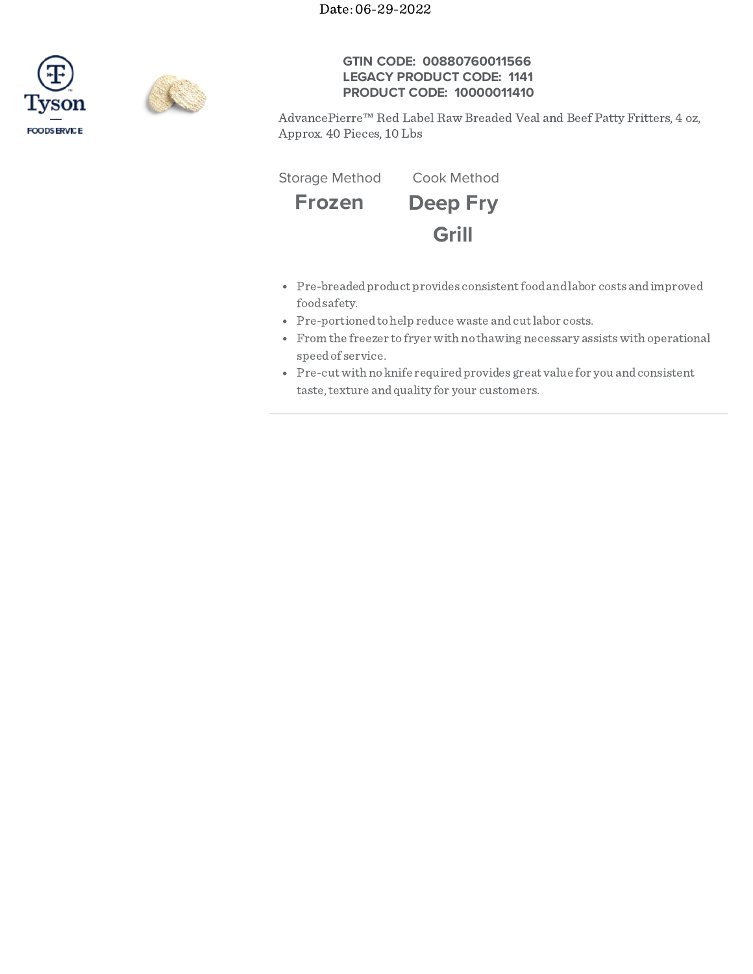Date: 06-29-2022





## **GTIN CODE: 00880760011566 LEGACY PRODUCT CODE: 1141 PRODUCT CODE: 10000011410**

AdvancePierre™ Red Label Raw Breaded Veal and Beef Patty Fritters, 4 oz, Approx. 40 Pieces, 10 Lbs

**Frozen Deep Fry Grill** Storage Method Cook Method

- Pre-breaded product provides consistent food and labor costs and improved foodsafety.
- Pre-portioned to help reduce waste and cut labor costs.
- From the freezer to fryer with no thawing necessary assistswith operational speedof service.
- Pre-cut with no knife required provides great value for you and consistent taste, texture and quality for your customers.